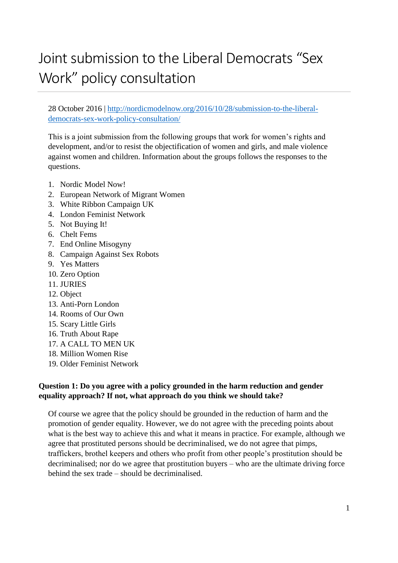# Joint submission to the Liberal Democrats "Sex Work" policy consultation

28 October 2016 | [http://nordicmodelnow.org/2016/10/28/submission-to-the-liberal](http://nordicmodelnow.org/2016/10/28/submission-to-the-liberal-democrats-sex-work-policy-consultation/)[democrats-sex-work-policy-consultation/](http://nordicmodelnow.org/2016/10/28/submission-to-the-liberal-democrats-sex-work-policy-consultation/)

This is a joint submission from the following groups that work for women's rights and development, and/or to resist the objectification of women and girls, and male violence against women and children. Information about the groups follows the responses to the questions.

- 1. Nordic Model Now!
- 2. European Network of Migrant Women
- 3. White Ribbon Campaign UK
- 4. London Feminist Network
- 5. Not Buying It!
- 6. Chelt Fems
- 7. End Online Misogyny
- 8. Campaign Against Sex Robots
- 9. Yes Matters
- 10. Zero Option
- 11. JURIES
- 12. Object
- 13. Anti-Porn London
- 14. Rooms of Our Own
- 15. Scary Little Girls
- 16. Truth About Rape
- 17. A CALL TO MEN UK
- 18. Million Women Rise
- 19. Older Feminist Network

#### **Question 1: Do you agree with a policy grounded in the harm reduction and gender equality approach? If not, what approach do you think we should take?**

Of course we agree that the policy should be grounded in the reduction of harm and the promotion of gender equality. However, we do not agree with the preceding points about what is the best way to achieve this and what it means in practice. For example, although we agree that prostituted persons should be decriminalised, we do not agree that pimps, traffickers, brothel keepers and others who profit from other people's prostitution should be decriminalised; nor do we agree that prostitution buyers – who are the ultimate driving force behind the sex trade – should be decriminalised.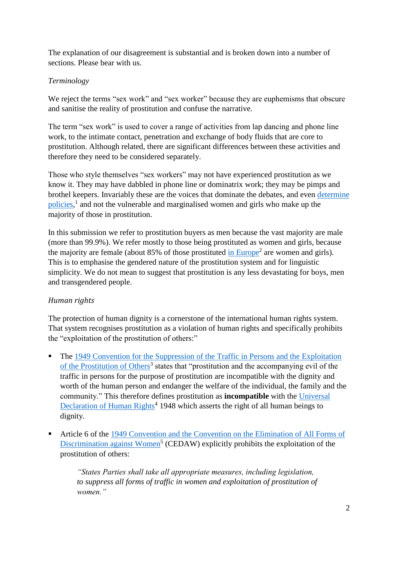The explanation of our disagreement is substantial and is broken down into a number of sections. Please bear with us.

#### *Terminology*

We reject the terms "sex work" and "sex worker" because they are euphemisms that obscure and sanitise the reality of prostitution and confuse the narrative.

The term "sex work" is used to cover a range of activities from lap dancing and phone line work, to the intimate contact, penetration and exchange of body fluids that are core to prostitution. Although related, there are significant differences between these activities and therefore they need to be considered separately.

Those who style themselves "sex workers" may not have experienced prostitution as we know it. They may have dabbled in phone line or dominatrix work; they may be pimps and brothel keepers. Invariably these are the voices that dominate the debates, and even [determine](http://thefeministahood.wordpress.com/2015/08/24/what-amnesty-did-wrong/)  [policies,](http://thefeministahood.wordpress.com/2015/08/24/what-amnesty-did-wrong/)<sup>1</sup> and not the vulnerable and marginalised women and girls who make up the majority of those in prostitution.

In this submission we refer to prostitution buyers as men because the vast majority are male (more than 99.9%). We refer mostly to those being prostituted as women and girls, because the majority are female (about  $85\%$  of those prostituted [in Europe](http://tampep.eu/documents/TAMPEP%202009%20European%20Mapping%20Report.pdf)<sup>2</sup> are women and girls). This is to emphasise the gendered nature of the prostitution system and for linguistic simplicity. We do not mean to suggest that prostitution is any less devastating for boys, men and transgendered people.

### *Human rights*

The protection of human dignity is a cornerstone of the international human rights system. That system recognises prostitution as a violation of human rights and specifically prohibits the "exploitation of the prostitution of others:"

- The 1949 Convention for the Suppression of the Traffic in Persons and the Exploitation [of the Prostitution of Others](http://www.ohchr.org/EN/ProfessionalInterest/Pages/TrafficInPersons.aspx)<sup>3</sup> states that "prostitution and the accompanying evil of the traffic in persons for the purpose of prostitution are incompatible with the dignity and worth of the human person and endanger the welfare of the individual, the family and the community." This therefore defines prostitution as **incompatible** with the [Universal](http://www.un.org/en/universal-declaration-human-rights/)  [Declaration of Human Rights](http://www.un.org/en/universal-declaration-human-rights/)<sup>4</sup> 1948 which asserts the right of all human beings to dignity.
- Article 6 of the [1949 Convention and the Convention on the Elimination of All Forms of](http://www.un.org/womenwatch/daw/cedaw/cedaw.htm)  [Discrimination against Women](http://www.un.org/womenwatch/daw/cedaw/cedaw.htm)<sup>5</sup> (CEDAW) explicitly prohibits the exploitation of the prostitution of others:

*"States Parties shall take all appropriate measures, including legislation,*  to suppress all forms of traffic in women and exploitation of prostitution of *women."*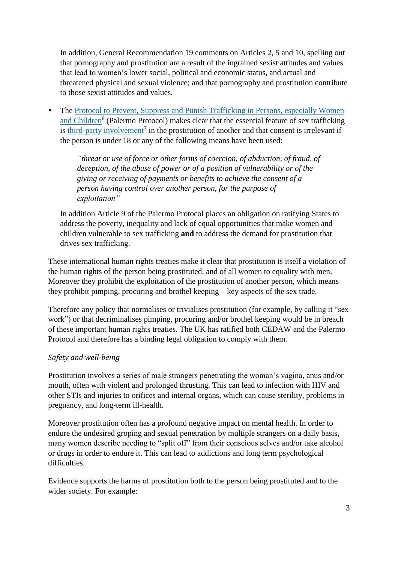In addition, General Recommendation 19 comments on Articles 2, 5 and 10, spelling out that pornography and prostitution are a result of the ingrained sexist attitudes and values that lead to women's lower social, political and economic status, and actual and threatened physical and sexual violence; and that pornography and prostitution contribute to those sexist attitudes and values.

 The [Protocol to Prevent, Suppress and Punish Trafficking in Persons, especially Women](http://www.ohchr.org/EN/ProfessionalInterest/Pages/ProtocolTraffickingInPersons.aspx)  [and Children](http://www.ohchr.org/EN/ProfessionalInterest/Pages/ProtocolTraffickingInPersons.aspx)<sup>6</sup> (Palermo Protocol) makes clear that the essential feature of sex trafficking is [third-party involvement](http://www.prostitutionresearch.com/pdfs/MacKinnon%20(2011)%20Trafficking%20Prostitution%20and%20Inequality.pdf)<sup>7</sup> in the prostitution of another and that consent is irrelevant if the person is under 18 or any of the following means have been used:

*"threat or use of force or other forms of coercion, of abduction, of fraud, of deception, of the abuse of power or of a position of vulnerability or of the giving or receiving of payments or benefits to achieve the consent of a person having control over another person, for the purpose of exploitation"*

In addition Article 9 of the Palermo Protocol places an obligation on ratifying States to address the poverty, inequality and lack of equal opportunities that make women and children vulnerable to sex trafficking **and** to address the demand for prostitution that drives sex trafficking.

These international human rights treaties make it clear that prostitution is itself a violation of the human rights of the person being prostituted, and of all women to equality with men. Moreover they prohibit the exploitation of the prostitution of another person, which means they prohibit pimping, procuring and brothel keeping – key aspects of the sex trade.

Therefore any policy that normalises or trivialises prostitution (for example, by calling it "sex work") or that decriminalises pimping, procuring and/or brothel keeping would be in breach of these important human rights treaties. The UK has ratified both CEDAW and the Palermo Protocol and therefore has a binding legal obligation to comply with them.

#### *Safety and well-being*

Prostitution involves a series of male strangers penetrating the woman's vagina, anus and/or mouth, often with violent and prolonged thrusting. This can lead to infection with HIV and other STIs and injuries to orifices and internal organs, which can cause sterility, problems in pregnancy, and long-term ill-health.

Moreover prostitution often has a profound negative impact on mental health. In order to endure the undesired groping and sexual penetration by multiple strangers on a daily basis, many women describe needing to "split off" from their conscious selves and/or take alcohol or drugs in order to endure it. This can lead to addictions and long term psychological difficulties.

Evidence supports the harms of prostitution both to the person being prostituted and to the wider society. For example: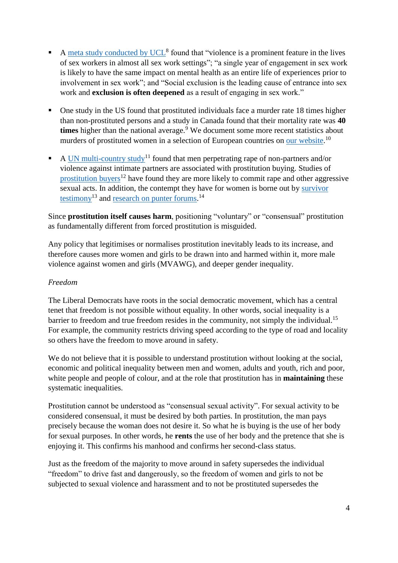- A [meta study conducted by UCL](http://www.gov.uk/government/uploads/system/uploads/attachment_data/file/303927/A_Review_of_the_Literature_on_sex_workers_and_social_exclusion.pdf)<sup>8</sup> found that "violence is a prominent feature in the lives of sex workers in almost all sex work settings"; "a single year of engagement in sex work is likely to have the same impact on mental health as an entire life of experiences prior to involvement in sex work"; and "Social exclusion is the leading cause of entrance into sex work and **exclusion is often deepened** as a result of engaging in sex work."
- One study in the US found that prostituted individuals face a murder rate 18 times higher than non-prostituted persons and a study in Canada found that their mortality rate was **40**  times higher than the national average.<sup>9</sup> We document some more recent statistics about murders of prostituted women in a selection of European countries on [our website.](http://nordicmodelnow.org/facts-about-prostitution/fact-prostitution-is-inherently-violent/)<sup>10</sup>
- A [UN multi-country study](http://www.svri.org/sites/default/files/attachments/2016-07-19/RBAP-Gender-2013-P4P-VAW-Report-Summary.pdf)<sup>11</sup> found that men perpetrating rape of non-partners and/or violence against intimate partners are associated with prostitution buying. Studies of [prostitution](http://prostitutionresearch.com/wp-content/uploads/2015/09/Comparing-Sex-Buyers-With-Men-Who-Do-Not-Buy-Sex.pdf) buyers<sup>12</sup> have found they are more likely to commit rape and other aggressive sexual acts. In addition, the contempt they have for women is borne out by [survivor](http://nordicmodelnow.org/testimonial/)  [testimony](http://nordicmodelnow.org/testimonial/)<sup>13</sup> and [research on punter forums.](http://nordicmodelnow.org/myths-about-prostitution/myth-punters-care-about-the-women-they-buy/)<sup>14</sup>

Since **prostitution itself causes harm**, positioning "voluntary" or "consensual" prostitution as fundamentally different from forced prostitution is misguided.

Any policy that legitimises or normalises prostitution inevitably leads to its increase, and therefore causes more women and girls to be drawn into and harmed within it, more male violence against women and girls (MVAWG), and deeper gender inequality.

#### *Freedom*

The Liberal Democrats have roots in the social democratic movement, which has a central tenet that freedom is not possible without equality. In other words, social inequality is a barrier to freedom and true freedom resides in the community, not simply the individual.<sup>15</sup> For example, the community restricts driving speed according to the type of road and locality so others have the freedom to move around in safety.

We do not believe that it is possible to understand prostitution without looking at the social, economic and political inequality between men and women, adults and youth, rich and poor, white people and people of colour, and at the role that prostitution has in **maintaining** these systematic inequalities.

Prostitution cannot be understood as "consensual sexual activity". For sexual activity to be considered consensual, it must be desired by both parties. In prostitution, the man pays precisely because the woman does not desire it. So what he is buying is the use of her body for sexual purposes. In other words, he **rents** the use of her body and the pretence that she is enjoying it. This confirms his manhood and confirms her second-class status.

Just as the freedom of the majority to move around in safety supersedes the individual "freedom" to drive fast and dangerously, so the freedom of women and girls to not be subjected to sexual violence and harassment and to not be prostituted supersedes the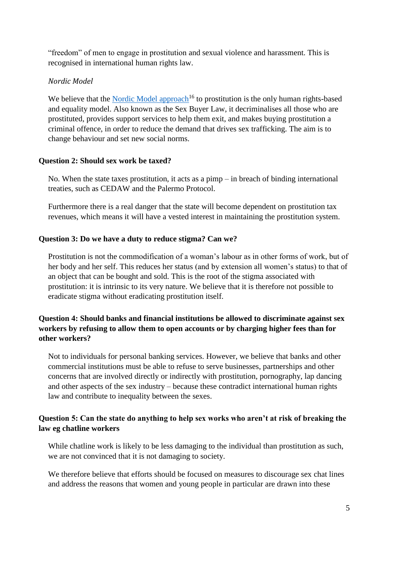"freedom" of men to engage in prostitution and sexual violence and harassment. This is recognised in international human rights law.

#### *Nordic Model*

We believe that the [Nordic Model approach](http://nordicmodelnow.org/what-is-the-nordic-model/)<sup>16</sup> to prostitution is the only human rights-based and equality model. Also known as the Sex Buyer Law, it decriminalises all those who are prostituted, provides support services to help them exit, and makes buying prostitution a criminal offence, in order to reduce the demand that drives sex trafficking. The aim is to change behaviour and set new social norms.

#### **Question 2: Should sex work be taxed?**

No. When the state taxes prostitution, it acts as a pimp – in breach of binding international treaties, such as CEDAW and the Palermo Protocol.

Furthermore there is a real danger that the state will become dependent on prostitution tax revenues, which means it will have a vested interest in maintaining the prostitution system.

#### **Question 3: Do we have a duty to reduce stigma? Can we?**

Prostitution is not the commodification of a woman's labour as in other forms of work, but of her body and her self. This reduces her status (and by extension all women's status) to that of an object that can be bought and sold. This is the root of the stigma associated with prostitution: it is intrinsic to its very nature. We believe that it is therefore not possible to eradicate stigma without eradicating prostitution itself.

#### **Question 4: Should banks and financial institutions be allowed to discriminate against sex workers by refusing to allow them to open accounts or by charging higher fees than for other workers?**

Not to individuals for personal banking services. However, we believe that banks and other commercial institutions must be able to refuse to serve businesses, partnerships and other concerns that are involved directly or indirectly with prostitution, pornography, lap dancing and other aspects of the sex industry – because these contradict international human rights law and contribute to inequality between the sexes.

#### **Question 5: Can the state do anything to help sex works who aren't at risk of breaking the law eg chatline workers**

While chatline work is likely to be less damaging to the individual than prostitution as such, we are not convinced that it is not damaging to society.

We therefore believe that efforts should be focused on measures to discourage sex chat lines and address the reasons that women and young people in particular are drawn into these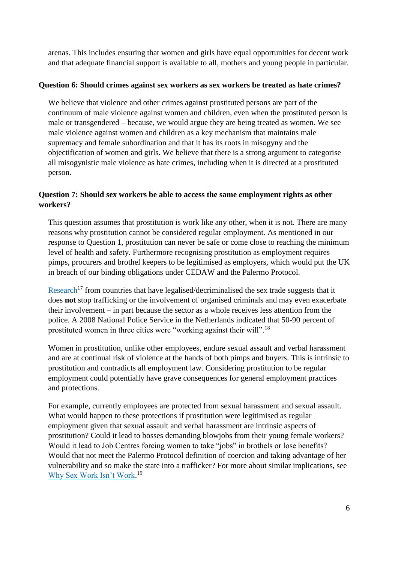arenas. This includes ensuring that women and girls have equal opportunities for decent work and that adequate financial support is available to all, mothers and young people in particular.

#### **Question 6: Should crimes against sex workers as sex workers be treated as hate crimes?**

We believe that violence and other crimes against prostituted persons are part of the continuum of male violence against women and children, even when the prostituted person is male or transgendered – because, we would argue they are being treated as women. We see male violence against women and children as a key mechanism that maintains male supremacy and female subordination and that it has its roots in misogyny and the objectification of women and girls. We believe that there is a strong argument to categorise all misogynistic male violence as hate crimes, including when it is directed at a prostituted person.

#### **Question 7: Should sex workers be able to access the same employment rights as other workers?**

This question assumes that prostitution is work like any other, when it is not. There are many reasons why prostitution cannot be considered regular employment. As mentioned in our response to Question 1, prostitution can never be safe or come close to reaching the minimum level of health and safety. Furthermore recognising prostitution as employment requires pimps, procurers and brothel keepers to be legitimised as employers, which would put the UK in breach of our binding obligations under CEDAW and the Palermo Protocol.

[Research](http://digitalcommons.law.seattleu.edu/cgi/viewcontent.cgi?article=1814&context=sjsj)<sup>17</sup> from countries that have legalised/decriminalised the sex trade suggests that it does **not** stop trafficking or the involvement of organised criminals and may even exacerbate their involvement – in part because the sector as a whole receives less attention from the police. A 2008 National Police Service in the Netherlands indicated that 50-90 percent of prostituted women in three cities were "working against their will".<sup>18</sup>

Women in prostitution, unlike other employees, endure sexual assault and verbal harassment and are at continual risk of violence at the hands of both pimps and buyers. This is intrinsic to prostitution and contradicts all employment law. Considering prostitution to be regular employment could potentially have grave consequences for general employment practices and protections.

For example, currently employees are protected from sexual harassment and sexual assault. What would happen to these protections if prostitution were legitimised as regular employment given that sexual assault and verbal harassment are intrinsic aspects of prostitution? Could it lead to bosses demanding blowjobs from their young female workers? Would it lead to Job Centres forcing women to take "jobs" in brothels or lose benefits? Would that not meet the Palermo Protocol definition of coercion and taking advantage of her vulnerability and so make the state into a trafficker? For more about similar implications, see [Why Sex Work Isn't Work.](http://logosjournal.com/2014/watson/) 19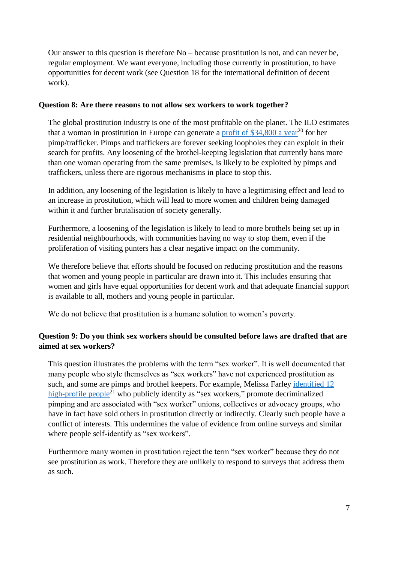Our answer to this question is therefore No – because prostitution is not, and can never be, regular employment. We want everyone, including those currently in prostitution, to have opportunities for decent work (see Question 18 for the international definition of decent work).

#### **Question 8: Are there reasons to not allow sex workers to work together?**

The global prostitution industry is one of the most profitable on the planet. The ILO estimates that a woman in prostitution in Europe can generate a [profit of \\$34,800 a year](http://www.truthdig.com/report/page2/the_whoredom_of_the_left_20150308)<sup>20</sup> for her pimp/trafficker. Pimps and traffickers are forever seeking loopholes they can exploit in their search for profits. Any loosening of the brothel-keeping legislation that currently bans more than one woman operating from the same premises, is likely to be exploited by pimps and traffickers, unless there are rigorous mechanisms in place to stop this.

In addition, any loosening of the legislation is likely to have a legitimising effect and lead to an increase in prostitution, which will lead to more women and children being damaged within it and further brutalisation of society generally.

Furthermore, a loosening of the legislation is likely to lead to more brothels being set up in residential neighbourhoods, with communities having no way to stop them, even if the proliferation of visiting punters has a clear negative impact on the community.

We therefore believe that efforts should be focused on reducing prostitution and the reasons that women and young people in particular are drawn into it. This includes ensuring that women and girls have equal opportunities for decent work and that adequate financial support is available to all, mothers and young people in particular.

We do not believe that prostitution is a humane solution to women's poverty.

#### **Question 9: Do you think sex workers should be consulted before laws are drafted that are aimed at sex workers?**

This question illustrates the problems with the term "sex worker". It is well documented that many people who style themselves as "sex workers" have not experienced prostitution as such, and some are pimps and brothel keepers. For example, Melissa Farley [identified 12](http://logosjournal.com/2016/farley-2/)  [high-profile people](http://logosjournal.com/2016/farley-2/)<sup>21</sup> who publicly identify as "sex workers," promote decriminalized pimping and are associated with "sex worker" unions, collectives or advocacy groups, who have in fact have sold others in prostitution directly or indirectly. Clearly such people have a conflict of interests. This undermines the value of evidence from online surveys and similar where people self-identify as "sex workers".

Furthermore many women in prostitution reject the term "sex worker" because they do not see prostitution as work. Therefore they are unlikely to respond to surveys that address them as such.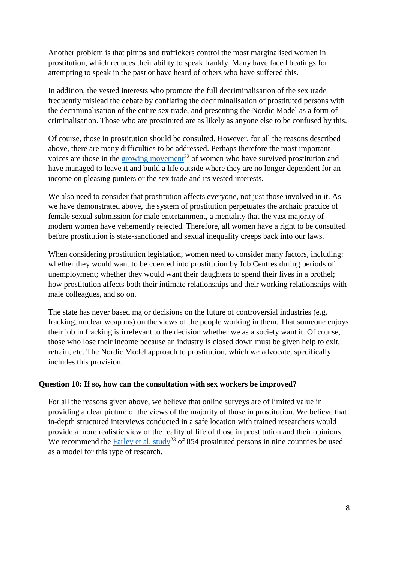Another problem is that pimps and traffickers control the most marginalised women in prostitution, which reduces their ability to speak frankly. Many have faced beatings for attempting to speak in the past or have heard of others who have suffered this.

In addition, the vested interests who promote the full decriminalisation of the sex trade frequently mislead the debate by conflating the decriminalisation of prostituted persons with the decriminalisation of the entire sex trade, and presenting the Nordic Model as a form of criminalisation. Those who are prostituted are as likely as anyone else to be confused by this.

Of course, those in prostitution should be consulted. However, for all the reasons described above, there are many difficulties to be addressed. Perhaps therefore the most important voices are those in the [growing movement](http://spaceinternational.ie/)<sup>22</sup> of women who have survived prostitution and have managed to leave it and build a life outside where they are no longer dependent for an income on pleasing punters or the sex trade and its vested interests.

We also need to consider that prostitution affects everyone, not just those involved in it. As we have demonstrated above, the system of prostitution perpetuates the archaic practice of female sexual submission for male entertainment, a mentality that the vast majority of modern women have vehemently rejected. Therefore, all women have a right to be consulted before prostitution is state-sanctioned and sexual inequality creeps back into our laws.

When considering prostitution legislation, women need to consider many factors, including: whether they would want to be coerced into prostitution by Job Centres during periods of unemployment; whether they would want their daughters to spend their lives in a brothel; how prostitution affects both their intimate relationships and their working relationships with male colleagues, and so on.

The state has never based major decisions on the future of controversial industries (e.g. fracking, nuclear weapons) on the views of the people working in them. That someone enjoys their job in fracking is irrelevant to the decision whether we as a society want it. Of course, those who lose their income because an industry is closed down must be given help to exit, retrain, etc. The Nordic Model approach to prostitution, which we advocate, specifically includes this provision.

#### **Question 10: If so, how can the consultation with sex workers be improved?**

For all the reasons given above, we believe that online surveys are of limited value in providing a clear picture of the views of the majority of those in prostitution. We believe that in-depth structured interviews conducted in a safe location with trained researchers would provide a more realistic view of the reality of life of those in prostitution and their opinions. We recommend the [Farley et al. study](http://www.prostitutionresearch.com/pdf/Prostitutionin9Countries.pdf)<sup>23</sup> of 854 prostituted persons in nine countries be used as a model for this type of research.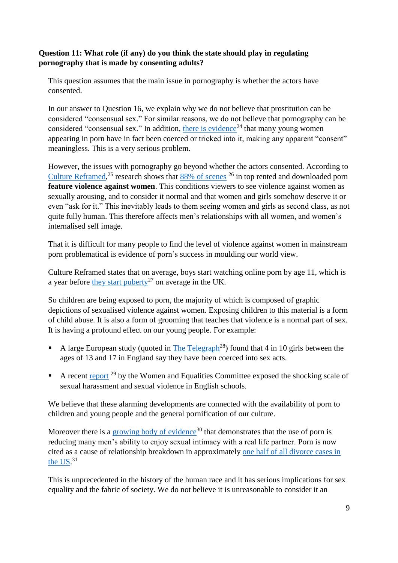#### **Question 11: What role (if any) do you think the state should play in regulating pornography that is made by consenting adults?**

This question assumes that the main issue in pornography is whether the actors have consented.

In our answer to Question 16, we explain why we do not believe that prostitution can be considered "consensual sex." For similar reasons, we do not believe that pornography can be considered "consensual sex." In addition, [there is evidence](http://www.japantoday.com/category/crime/view/tricked-into-porn-japanese-actresses-step-out-of-the-shadows)<sup>24</sup> that many young women appearing in porn have in fact been coerced or tricked into it, making any apparent "consent" meaningless. This is a very serious problem.

However, the issues with pornography go beyond whether the actors consented. According to [Culture Reframed,](http://www.culturereframed.org/)<sup>25</sup> research shows that  $88\%$  of scenes<sup>26</sup> in top rented and downloaded porn **feature violence against women**. This conditions viewers to see violence against women as sexually arousing, and to consider it normal and that women and girls somehow deserve it or even "ask for it." This inevitably leads to them seeing women and girls as second class, as not quite fully human. This therefore affects men's relationships with all women, and women's internalised self image.

That it is difficult for many people to find the level of violence against women in mainstream porn problematical is evidence of porn's success in moulding our world view.

Culture Reframed states that on average, boys start watching online porn by age 11, which is a year before [they start](http://www.nhs.uk/Livewell/puberty/Pages/puberty-signs.aspx) puberty<sup>27</sup> on average in the UK.

So children are being exposed to porn, the majority of which is composed of graphic depictions of sexualised violence against women. Exposing children to this material is a form of child abuse. It is also a form of grooming that teaches that violence is a normal part of sex. It is having a profound effect on our young people. For example:

- A large European study (quoted in [The Telegraph](http://www.telegraph.co.uk/women/mother-tongue/11554595/Pornography-has-changed-the-landscape-of-adolescence-beyond-all-recognition.html)<sup>28</sup>) found that 4 in 10 girls between the ages of 13 and 17 in England say they have been coerced into sex acts.
- A recent [report](http://www.parliament.uk/business/committees/committees-a-z/commons-select/women-and-equalities-committee/news-parliament-2015/sexual-harassment-and-violence-in-schools-report-published-16-17/) <sup>29</sup> by the Women and Equalities Committee exposed the shocking scale of sexual harassment and sexual violence in English schools.

We believe that these alarming developments are connected with the availability of porn to children and young people and the general pornification of our culture.

Moreover there is a [growing body of evidence](http://www.psychologytoday.com/blog/married-and-still-doing-it/201006/the-real-danger-porn-poses-relationships)<sup>30</sup> that demonstrates that the use of porn is reducing many men's ability to enjoy sexual intimacy with a real life partner. Porn is now cited as a cause of relationship breakdown in approximately [one half of all divorce cases in](http://www.psychologytoday.com/blog/inside-porn-addiction/201112/is-porn-really-destroying-500000-marriages-annually)  the  $US.<sup>31</sup>$ 

This is unprecedented in the history of the human race and it has serious implications for sex equality and the fabric of society. We do not believe it is unreasonable to consider it an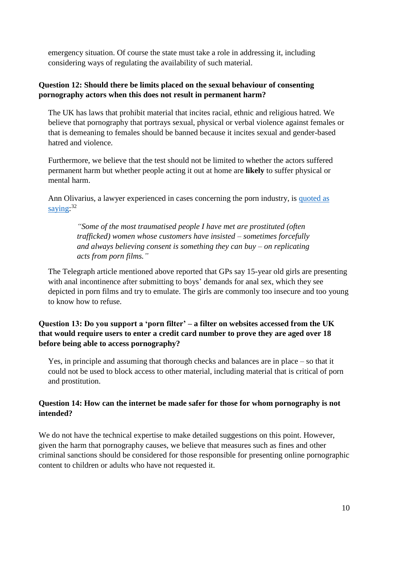emergency situation. Of course the state must take a role in addressing it, including considering ways of regulating the availability of such material.

#### **Question 12: Should there be limits placed on the sexual behaviour of consenting pornography actors when this does not result in permanent harm?**

The UK has laws that prohibit material that incites racial, ethnic and religious hatred. We believe that pornography that portrays sexual, physical or verbal violence against females or that is demeaning to females should be banned because it incites sexual and gender-based hatred and violence.

Furthermore, we believe that the test should not be limited to whether the actors suffered permanent harm but whether people acting it out at home are **likely** to suffer physical or mental harm.

Ann Olivarius, a lawyer experienced in cases concerning the porn industry, is [quoted as](http://www.mcolaw.com/blog/2016/1/4/i-clean-up-the-messes-of-the-porn-industry-why-are-we-still-questioning-whether-pornography-is-oppressive)  [saying:](http://www.mcolaw.com/blog/2016/1/4/i-clean-up-the-messes-of-the-porn-industry-why-are-we-still-questioning-whether-pornography-is-oppressive)<sup>32</sup>

> *"Some of the most traumatised people I have met are prostituted (often trafficked) women whose customers have insisted – sometimes forcefully and always believing consent is something they can buy – on replicating acts from porn films."*

The Telegraph article mentioned above reported that GPs say 15-year old girls are presenting with anal incontinence after submitting to boys' demands for anal sex, which they see depicted in porn films and try to emulate. The girls are commonly too insecure and too young to know how to refuse.

#### **Question 13: Do you support a 'porn filter' – a filter on websites accessed from the UK that would require users to enter a credit card number to prove they are aged over 18 before being able to access pornography?**

Yes, in principle and assuming that thorough checks and balances are in place – so that it could not be used to block access to other material, including material that is critical of porn and prostitution.

#### **Question 14: How can the internet be made safer for those for whom pornography is not intended?**

We do not have the technical expertise to make detailed suggestions on this point. However, given the harm that pornography causes, we believe that measures such as fines and other criminal sanctions should be considered for those responsible for presenting online pornographic content to children or adults who have not requested it.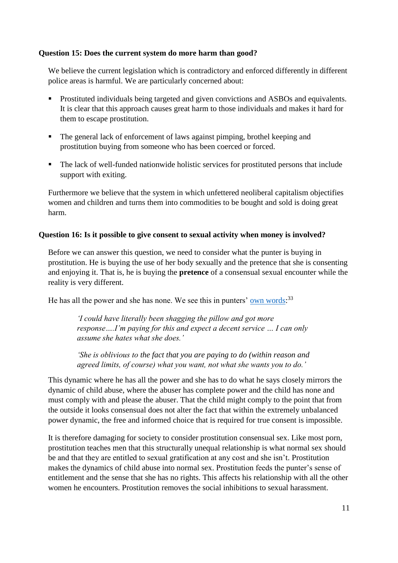#### **Question 15: Does the current system do more harm than good?**

We believe the current legislation which is contradictory and enforced differently in different police areas is harmful. We are particularly concerned about:

- **Prostituted individuals being targeted and given convictions and ASBOs and equivalents.** It is clear that this approach causes great harm to those individuals and makes it hard for them to escape prostitution.
- The general lack of enforcement of laws against pimping, brothel keeping and prostitution buying from someone who has been coerced or forced.
- The lack of well-funded nationwide holistic services for prostituted persons that include support with exiting.

Furthermore we believe that the system in which unfettered neoliberal capitalism objectifies women and children and turns them into commodities to be bought and sold is doing great harm.

#### **Question 16: Is it possible to give consent to sexual activity when money is involved?**

Before we can answer this question, we need to consider what the punter is buying in prostitution. He is buying the use of her body sexually and the pretence that she is consenting and enjoying it. That is, he is buying the **pretence** of a consensual sexual encounter while the reality is very different.

He has all the power and she has none. We see this in punters' <u>own words</u>:<sup>33</sup>

*'I could have literally been shagging the pillow and got more response….I'm paying for this and expect a decent service … I can only assume she hates what she does.'*

*'She is oblivious to the fact that you are paying to do (within reason and agreed limits, of course) what you want, not what she wants you to do.'*

This dynamic where he has all the power and she has to do what he says closely mirrors the dynamic of child abuse, where the abuser has complete power and the child has none and must comply with and please the abuser. That the child might comply to the point that from the outside it looks consensual does not alter the fact that within the extremely unbalanced power dynamic, the free and informed choice that is required for true consent is impossible.

It is therefore damaging for society to consider prostitution consensual sex. Like most porn, prostitution teaches men that this structurally unequal relationship is what normal sex should be and that they are entitled to sexual gratification at any cost and she isn't. Prostitution makes the dynamics of child abuse into normal sex. Prostitution feeds the punter's sense of entitlement and the sense that she has no rights. This affects his relationship with all the other women he encounters. Prostitution removes the social inhibitions to sexual harassment.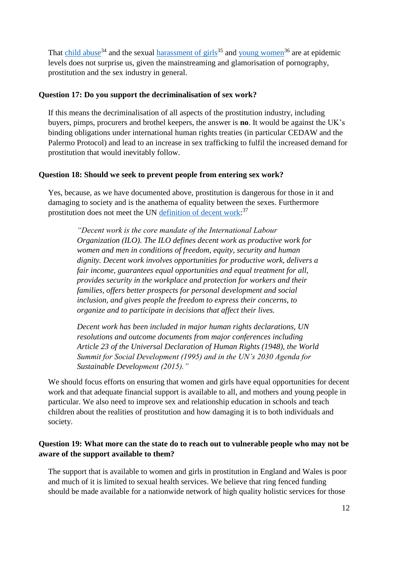That [child abuse](http://www.theguardian.com/society/2014/dec/08/child-sex-abuse-national-health-epidemic-11-million-victims)<sup>34</sup> and the sexual [harassment of girls](http://www.theguardian.com/us-news/2016/oct/09/women-share-sexual-assault-stories-on-twitter-after-donald-trump-comments?CMP=twt_gu)<sup>35</sup> an[d young women](http://www.theguardian.com/society/2016/oct/07/scale-of-sexual-abuse-in-uk-universities-likened-to-savile-and-catholic-scandals)<sup>36</sup> are at epidemic levels does not surprise us, given the mainstreaming and glamorisation of pornography, prostitution and the sex industry in general.

#### **Question 17: Do you support the decriminalisation of sex work?**

If this means the decriminalisation of all aspects of the prostitution industry, including buyers, pimps, procurers and brothel keepers, the answer is **no**. It would be against the UK's binding obligations under international human rights treaties (in particular CEDAW and the Palermo Protocol) and lead to an increase in sex trafficking to fulfil the increased demand for prostitution that would inevitably follow.

#### **Question 18: Should we seek to prevent people from entering sex work?**

Yes, because, as we have documented above, prostitution is dangerous for those in it and damaging to society and is the anathema of equality between the sexes. Furthermore prostitution does not meet the UN definition of decent work.<sup>37</sup>

*"Decent work is the core mandate of the International Labour Organization (ILO). The ILO defines decent work as productive work for women and men in conditions of freedom, equity, security and human dignity. Decent work involves opportunities for productive work, delivers a fair income, guarantees equal opportunities and equal treatment for all, provides security in the workplace and protection for workers and their families, offers better prospects for personal development and social inclusion, and gives people the freedom to express their concerns, to organize and to participate in decisions that affect their lives.* 

*Decent work has been included in major human rights declarations, UN resolutions and outcome documents from major conferences including Article 23 of the Universal Declaration of Human Rights (1948), the World Summit for Social Development (1995) and in the UN's 2030 Agenda for Sustainable Development (2015)."*

We should focus efforts on ensuring that women and girls have equal opportunities for decent work and that adequate financial support is available to all, and mothers and young people in particular. We also need to improve sex and relationship education in schools and teach children about the realities of prostitution and how damaging it is to both individuals and society.

#### **Question 19: What more can the state do to reach out to vulnerable people who may not be aware of the support available to them?**

The support that is available to women and girls in prostitution in England and Wales is poor and much of it is limited to sexual health services. We believe that ring fenced funding should be made available for a nationwide network of high quality holistic services for those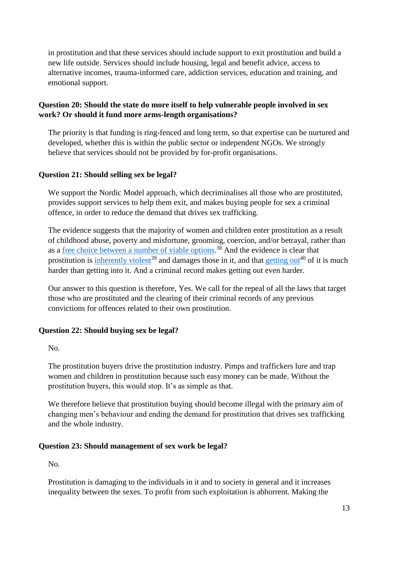in prostitution and that these services should include support to exit prostitution and build a new life outside. Services should include housing, legal and benefit advice, access to alternative incomes, trauma-informed care, addiction services, education and training, and emotional support.

#### **Question 20: Should the state do more itself to help vulnerable people involved in sex work? Or should it fund more arms-length organisations?**

The priority is that funding is ring-fenced and long term, so that expertise can be nurtured and developed, whether this is within the public sector or independent NGOs. We strongly believe that services should not be provided by for-profit organisations.

#### **Question 21: Should selling sex be legal?**

We support the Nordic Model approach, which decriminalises all those who are prostituted, provides support services to help them exit, and makes buying people for sex a criminal offence, in order to reduce the demand that drives sex trafficking.

The evidence suggests that the majority of women and children enter prostitution as a result of childhood abuse, poverty and misfortune, grooming, coercion, and/or betrayal, rather than as a <u>free choice between a number of viable options</u>.<sup>38</sup> And the evidence is clear that prostitution is [inherently violent](http://nordicmodelnow.org/facts-about-prostitution/fact-prostitution-is-inherently-violent/)<sup>39</sup> and damages those in it, and that [getting out](http://nordicmodelnow.org/facts-about-prostitution/fact-women-often-struggle-to-leave-prostitution/)<sup>40</sup> of it is much harder than getting into it. And a criminal record makes getting out even harder.

Our answer to this question is therefore, Yes. We call for the repeal of all the laws that target those who are prostituted and the clearing of their criminal records of any previous convictions for offences related to their own prostitution.

#### **Question 22: Should buying sex be legal?**

No.

The prostitution buyers drive the prostitution industry. Pimps and traffickers lure and trap women and children in prostitution because such easy money can be made. Without the prostitution buyers, this would stop. It's as simple as that.

We therefore believe that prostitution buying should become illegal with the primary aim of changing men's behaviour and ending the demand for prostitution that drives sex trafficking and the whole industry.

#### **Question 23: Should management of sex work be legal?**

No.

Prostitution is damaging to the individuals in it and to society in general and it increases inequality between the sexes. To profit from such exploitation is abhorrent. Making the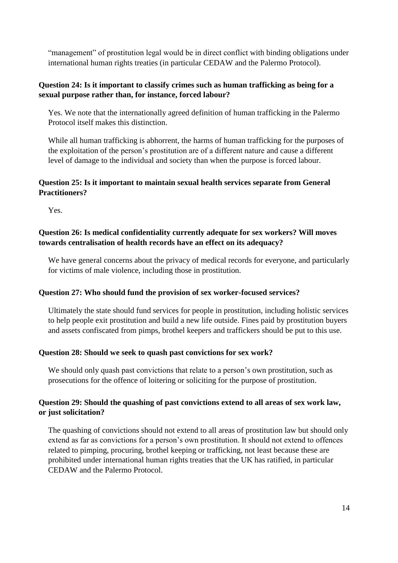"management" of prostitution legal would be in direct conflict with binding obligations under international human rights treaties (in particular CEDAW and the Palermo Protocol).

#### **Question 24: Is it important to classify crimes such as human trafficking as being for a sexual purpose rather than, for instance, forced labour?**

Yes. We note that the internationally agreed definition of human trafficking in the Palermo Protocol itself makes this distinction.

While all human trafficking is abhorrent, the harms of human trafficking for the purposes of the exploitation of the person's prostitution are of a different nature and cause a different level of damage to the individual and society than when the purpose is forced labour.

#### **Question 25: Is it important to maintain sexual health services separate from General Practitioners?**

Yes.

#### **Question 26: Is medical confidentiality currently adequate for sex workers? Will moves towards centralisation of health records have an effect on its adequacy?**

We have general concerns about the privacy of medical records for everyone, and particularly for victims of male violence, including those in prostitution.

#### **Question 27: Who should fund the provision of sex worker-focused services?**

Ultimately the state should fund services for people in prostitution, including holistic services to help people exit prostitution and build a new life outside. Fines paid by prostitution buyers and assets confiscated from pimps, brothel keepers and traffickers should be put to this use.

#### **Question 28: Should we seek to quash past convictions for sex work?**

We should only quash past convictions that relate to a person's own prostitution, such as prosecutions for the offence of loitering or soliciting for the purpose of prostitution.

#### **Question 29: Should the quashing of past convictions extend to all areas of sex work law, or just solicitation?**

The quashing of convictions should not extend to all areas of prostitution law but should only extend as far as convictions for a person's own prostitution. It should not extend to offences related to pimping, procuring, brothel keeping or trafficking, not least because these are prohibited under international human rights treaties that the UK has ratified, in particular CEDAW and the Palermo Protocol.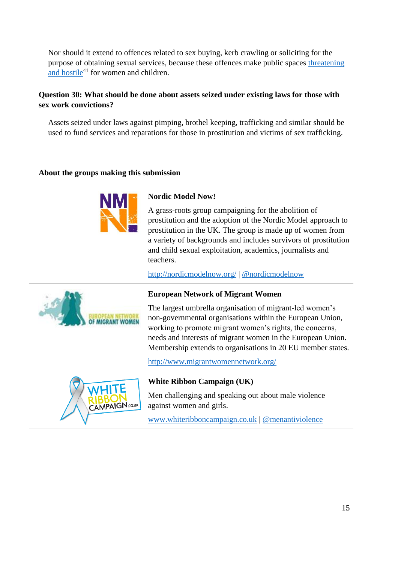Nor should it extend to offences related to sex buying, kerb crawling or soliciting for the purpose of obtaining sexual services, because these offences make public spaces [threatening](http://nordicmodelnow.org/2016/05/14/young-womens-daily-reality-in-east-london/)  [and hostile](http://nordicmodelnow.org/2016/05/14/young-womens-daily-reality-in-east-london/) $41$  for women and children.

#### **Question 30: What should be done about assets seized under existing laws for those with sex work convictions?**

Assets seized under laws against pimping, brothel keeping, trafficking and similar should be used to fund services and reparations for those in prostitution and victims of sex trafficking.

#### **About the groups making this submission**



#### **Nordic Model Now!**

A grass-roots group campaigning for the abolition of prostitution and the adoption of the Nordic Model approach to prostitution in the UK. The group is made up of women from a variety of backgrounds and includes survivors of prostitution and child sexual exploitation, academics, journalists and teachers.

<http://nordicmodelnow.org/> | [@nordicmodelnow](http://twitter.com/nordicmodelnow)



#### **European Network of Migrant Women**

The largest umbrella organisation of migrant-led women's non-governmental organisations within the European Union, working to promote migrant women's rights, the concerns, needs and interests of migrant women in the European Union. Membership extends to organisations in 20 EU member states.

<http://www.migrantwomennetwork.org/>



#### **White Ribbon Campaign (UK)**

Men challenging and speaking out about male violence against women and girls.

[www.whiteribboncampaign.co.uk](http://www.whiteribboncampaign.co.uk/) | [@menantiviolence](http://twitter.com/menantiviolence)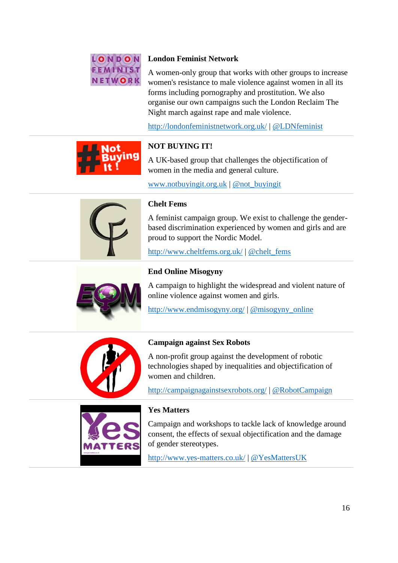

#### **London Feminist Network**

A women-only group that works with other groups to increase women's resistance to male violence against women in all its forms including pornography and prostitution. We also organise our own campaigns such the London Reclaim The Night march against rape and male violence.

<http://londonfeministnetwork.org.uk/> | [@LDNfeminist](http://twitter.com/LDNfeminist)



#### **NOT BUYING IT!**

A UK-based group that challenges the objectification of women in the media and general culture.

[www.notbuyingit.org.uk](http://www.notbuyingit.org.uk/) | [@not\\_buyingit](http://twitter.com/not_buyingit)



#### **Chelt Fems**

A feminist campaign group. We exist to challenge the genderbased discrimination experienced by women and girls and are proud to support the Nordic Model.

<http://www.cheltfems.org.uk/> | [@chelt\\_fems](http://twitter.com/Chelt_Fems)



#### **End Online Misogyny**

A campaign to highlight the widespread and violent nature of online violence against women and girls.

<http://www.endmisogyny.org/> | [@misogyny\\_online](http://twitter.com/misogyny_online)



#### **Campaign against Sex Robots**

A non-profit group against the development of robotic technologies shaped by inequalities and objectification of women and children.

<http://campaignagainstsexrobots.org/> | [@RobotCampaign](http://twitter.com/RobotCampaign)



#### **Yes Matters**

Campaign and workshops to tackle lack of knowledge around consent, the effects of sexual objectification and the damage of gender stereotypes.

<http://www.yes-matters.co.uk/> | [@YesMattersUK](http://twitter.com/YesMattersUK)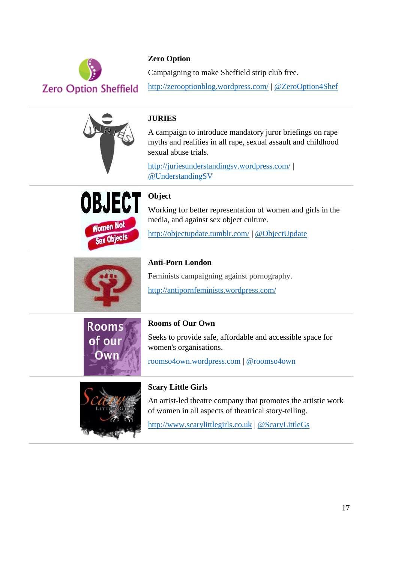

#### **Zero Option**

Campaigning to make Sheffield strip club free.

<http://zerooptionblog.wordpress.com/> | [@ZeroOption4Shef](http://twitter.com/ZeroOption4Shef)



#### **JURIES**

A campaign to introduce mandatory juror briefings on rape myths and realities in all rape, sexual assault and childhood sexual abuse trials.

<http://juriesunderstandingsv.wordpress.com/> | [@UnderstandingSV](http://twitter.com/UnderstandingSV)



## **Object**

Working for better representation of women and girls in the media, and against sex object culture.

<http://objectupdate.tumblr.com/> | [@ObjectUpdate](https://twitter.com/ObjectUpdate)



#### **Anti-Porn London**

Feminists campaigning against pornography.

<http://antipornfeminists.wordpress.com/>



### **Rooms of Our Own** Seeks to provide safe, affordable and accessible space for women's organisations.

[roomso4own.wordpress.com](http://roomso4own.wordpress.com/) | [@roomso4own](http://twitter.com/roomso4own)



#### **Scary Little Girls**

An artist-led theatre company that promotes the artistic work of women in all aspects of theatrical story-telling.

[http://www.scarylittlegirls.co.uk](http://www.scarylittlegirls.co.uk/) | [@ScaryLittleGs](http://twitter.com/ScaryLittleGs)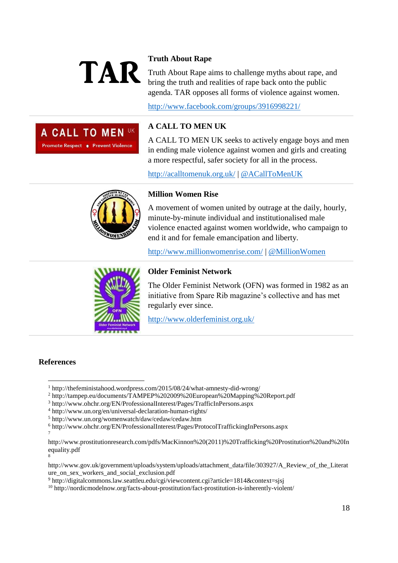# Truth About Rape a

A CALL TO MEN UK

Promote Respect . Prevent Violence

Truth About Rape aims to challenge myths about rape, and bring the truth and realities of rape back onto the public agenda. TAR opposes all forms of violence against women.

<http://www.facebook.com/groups/3916998221/>

### **A CALL TO MEN UK**

A CALL TO MEN UK seeks to actively engage boys and men in ending male violence against women and girls and creating a more respectful, safer society for all in the process.

<http://acalltomenuk.org.uk/> | [@ACallToMenUK](http://twitter.com/ACallToMenUK)



#### **Million Women Rise**

A movement of women united by outrage at the daily, hourly, minute-by-minute individual and institutionalised male violence enacted against women worldwide, who campaign to end it and for female emancipation and liberty.

<http://www.millionwomenrise.com/> | [@MillionWomen](http://twitter.com/MillionWomen)



#### **Older Feminist Network**

The Older Feminist Network (OFN) was formed in 1982 as an initiative from Spare Rib magazine's collective and has met regularly ever since.

<http://www.olderfeminist.org.uk/>

#### **References**

<sup>2</sup> http://tampep.eu/documents/TAMPEP%202009%20European%20Mapping%20Report.pdf

<sup>9</sup> http://digitalcommons.law.seattleu.edu/cgi/viewcontent.cgi?article=1814&context=sjsj

<sup>&</sup>lt;u>.</u> <sup>1</sup> http://thefeministahood.wordpress.com/2015/08/24/what-amnesty-did-wrong/

<sup>3</sup> http://www.ohchr.org/EN/ProfessionalInterest/Pages/TrafficInPersons.aspx

<sup>4</sup> http://www.un.org/en/universal-declaration-human-rights/

<sup>5</sup> http://www.un.org/womenwatch/daw/cedaw/cedaw.htm

<sup>6</sup> http://www.ohchr.org/EN/ProfessionalInterest/Pages/ProtocolTraffickingInPersons.aspx 7

http://www.prostitutionresearch.com/pdfs/MacKinnon%20(2011)%20Trafficking%20Prostitution%20and%20In equality.pdf 8

http://www.gov.uk/government/uploads/system/uploads/attachment\_data/file/303927/A\_Review\_of\_the\_Literat ure\_on\_sex\_workers\_and\_social\_exclusion.pdf

 $10$  http://nordicmodelnow.org/facts-about-prostitution/fact-prostitution-is-inherently-violent/